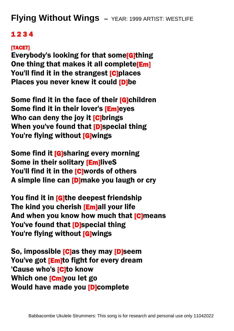**Flying Without Wings –** YEAR: 1999 ARTIST: WESTLIFE

## 1 2 3 4

## [TACET]

Everybody's looking for that some[G]thing One thing that makes it all complete[Em] You'll find it in the strangest [C]places Places you never knew it could [D]be

Some find it in the face of their [G]children Some find it in their lover's [Em]eyes Who can deny the joy it [C]brings When you've found that [D]special thing You're flying without [G]wings

Some find it [G]sharing every morning Some in their solitary [Em]liveS You'll find it in the [C]words of others A simple line can [D]make you laugh or cry

You find it in [G]the deepest friendship The kind you cherish [Em]all your life And when you know how much that [C]means You've found that **D**special thing You're flying without [G]wings

So, impossible [C]as they may [D]seem You've got [Em]to fight for every dream 'Cause who's [C]to know Which one [Cm]you let go Would have made you [D]complete